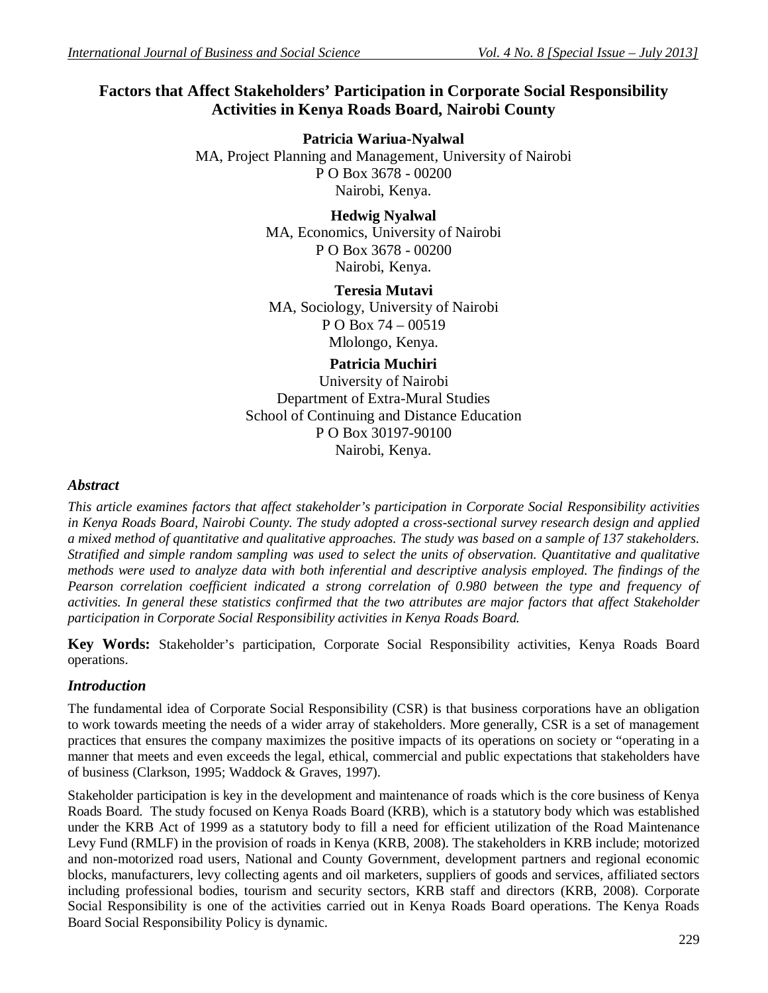# **Factors that Affect Stakeholders' Participation in Corporate Social Responsibility Activities in Kenya Roads Board, Nairobi County**

**Patricia Wariua-Nyalwal** MA, Project Planning and Management, University of Nairobi P O Box 3678 - 00200 Nairobi, Kenya.

> **Hedwig Nyalwal** MA, Economics, University of Nairobi P O Box 3678 - 00200 Nairobi, Kenya.

> **Teresia Mutavi** MA, Sociology, University of Nairobi P O Box 74 – 00519 Mlolongo, Kenya.

> > **Patricia Muchiri**

University of Nairobi Department of Extra-Mural Studies School of Continuing and Distance Education P O Box 30197-90100 Nairobi, Kenya.

#### *Abstract*

*This article examines factors that affect stakeholder's participation in Corporate Social Responsibility activities in Kenya Roads Board, Nairobi County. The study adopted a cross-sectional survey research design and applied a mixed method of quantitative and qualitative approaches. The study was based on a sample of 137 stakeholders. Stratified and simple random sampling was used to select the units of observation. Quantitative and qualitative methods were used to analyze data with both inferential and descriptive analysis employed. The findings of the Pearson correlation coefficient indicated a strong correlation of 0.980 between the type and frequency of activities. In general these statistics confirmed that the two attributes are major factors that affect Stakeholder participation in Corporate Social Responsibility activities in Kenya Roads Board.*

**Key Words:** Stakeholder's participation, Corporate Social Responsibility activities, Kenya Roads Board operations.

### *Introduction*

The fundamental idea of Corporate Social Responsibility (CSR) is that business corporations have an obligation to work towards meeting the needs of a wider array of stakeholders. More generally, CSR is a set of management practices that ensures the company maximizes the positive impacts of its operations on society or "operating in a manner that meets and even exceeds the legal, ethical, commercial and public expectations that stakeholders have of business (Clarkson, 1995; Waddock & Graves, 1997).

Stakeholder participation is key in the development and maintenance of roads which is the core business of Kenya Roads Board. The study focused on Kenya Roads Board (KRB), which is a statutory body which was established under the KRB Act of 1999 as a statutory body to fill a need for efficient utilization of the Road Maintenance Levy Fund (RMLF) in the provision of roads in Kenya (KRB, 2008). The stakeholders in KRB include; motorized and non-motorized road users, National and County Government, development partners and regional economic blocks, manufacturers, levy collecting agents and oil marketers, suppliers of goods and services, affiliated sectors including professional bodies, tourism and security sectors, KRB staff and directors (KRB, 2008). Corporate Social Responsibility is one of the activities carried out in Kenya Roads Board operations. The Kenya Roads Board Social Responsibility Policy is dynamic.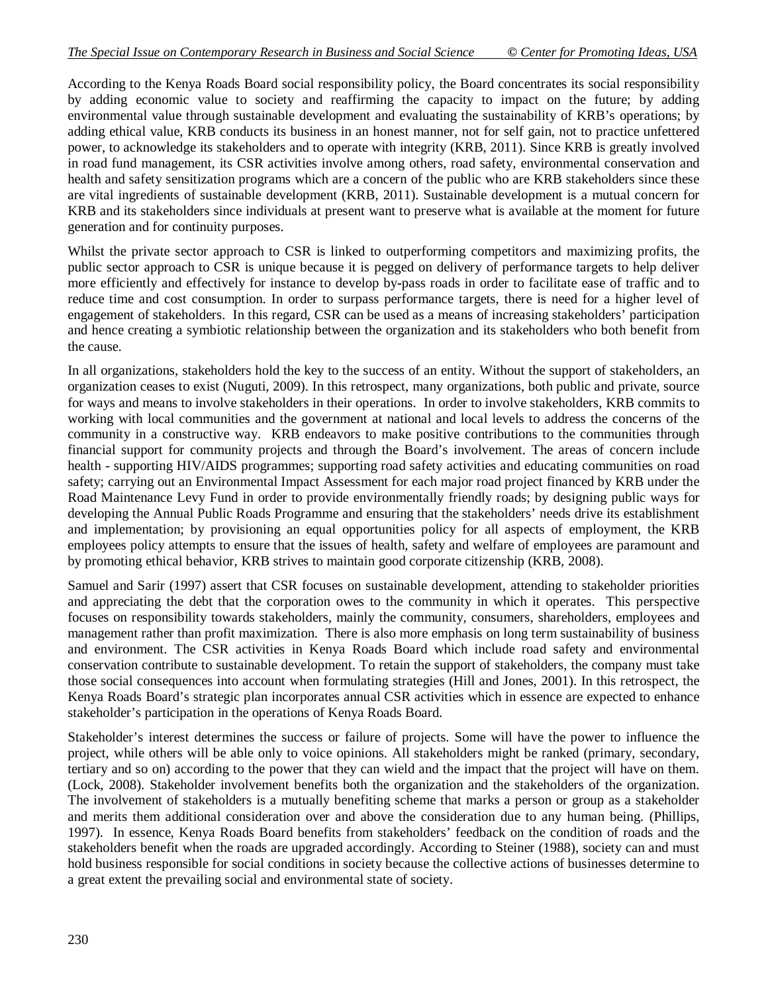According to the Kenya Roads Board social responsibility policy, the Board concentrates its social responsibility by adding economic value to society and reaffirming the capacity to impact on the future; by adding environmental value through sustainable development and evaluating the sustainability of KRB's operations; by adding ethical value, KRB conducts its business in an honest manner, not for self gain, not to practice unfettered power, to acknowledge its stakeholders and to operate with integrity (KRB, 2011). Since KRB is greatly involved in road fund management, its CSR activities involve among others, road safety, environmental conservation and health and safety sensitization programs which are a concern of the public who are KRB stakeholders since these are vital ingredients of sustainable development (KRB, 2011). Sustainable development is a mutual concern for KRB and its stakeholders since individuals at present want to preserve what is available at the moment for future generation and for continuity purposes.

Whilst the private sector approach to CSR is linked to outperforming competitors and maximizing profits, the public sector approach to CSR is unique because it is pegged on delivery of performance targets to help deliver more efficiently and effectively for instance to develop by**-**pass roads in order to facilitate ease of traffic and to reduce time and cost consumption. In order to surpass performance targets, there is need for a higher level of engagement of stakeholders. In this regard, CSR can be used as a means of increasing stakeholders' participation and hence creating a symbiotic relationship between the organization and its stakeholders who both benefit from the cause.

In all organizations, stakeholders hold the key to the success of an entity. Without the support of stakeholders, an organization ceases to exist (Nuguti, 2009). In this retrospect, many organizations, both public and private, source for ways and means to involve stakeholders in their operations. In order to involve stakeholders, KRB commits to working with local communities and the government at national and local levels to address the concerns of the community in a constructive way. KRB endeavors to make positive contributions to the communities through financial support for community projects and through the Board's involvement. The areas of concern include health - supporting HIV/AIDS programmes; supporting road safety activities and educating communities on road safety; carrying out an Environmental Impact Assessment for each major road project financed by KRB under the Road Maintenance Levy Fund in order to provide environmentally friendly roads; by designing public ways for developing the Annual Public Roads Programme and ensuring that the stakeholders' needs drive its establishment and implementation; by provisioning an equal opportunities policy for all aspects of employment, the KRB employees policy attempts to ensure that the issues of health, safety and welfare of employees are paramount and by promoting ethical behavior, KRB strives to maintain good corporate citizenship (KRB, 2008).

Samuel and Sarir (1997) assert that CSR focuses on sustainable development, attending to stakeholder priorities and appreciating the debt that the corporation owes to the community in which it operates. This perspective focuses on responsibility towards stakeholders, mainly the community, consumers, shareholders, employees and management rather than profit maximization. There is also more emphasis on long term sustainability of business and environment. The CSR activities in Kenya Roads Board which include road safety and environmental conservation contribute to sustainable development. To retain the support of stakeholders, the company must take those social consequences into account when formulating strategies (Hill and Jones, 2001). In this retrospect, the Kenya Roads Board's strategic plan incorporates annual CSR activities which in essence are expected to enhance stakeholder's participation in the operations of Kenya Roads Board.

Stakeholder's interest determines the success or failure of projects. Some will have the power to influence the project, while others will be able only to voice opinions. All stakeholders might be ranked (primary, secondary, tertiary and so on) according to the power that they can wield and the impact that the project will have on them. (Lock, 2008). Stakeholder involvement benefits both the organization and the stakeholders of the organization. The involvement of stakeholders is a mutually benefiting scheme that marks a person or group as a stakeholder and merits them additional consideration over and above the consideration due to any human being. (Phillips, 1997). In essence, Kenya Roads Board benefits from stakeholders' feedback on the condition of roads and the stakeholders benefit when the roads are upgraded accordingly. According to Steiner (1988), society can and must hold business responsible for social conditions in society because the collective actions of businesses determine to a great extent the prevailing social and environmental state of society.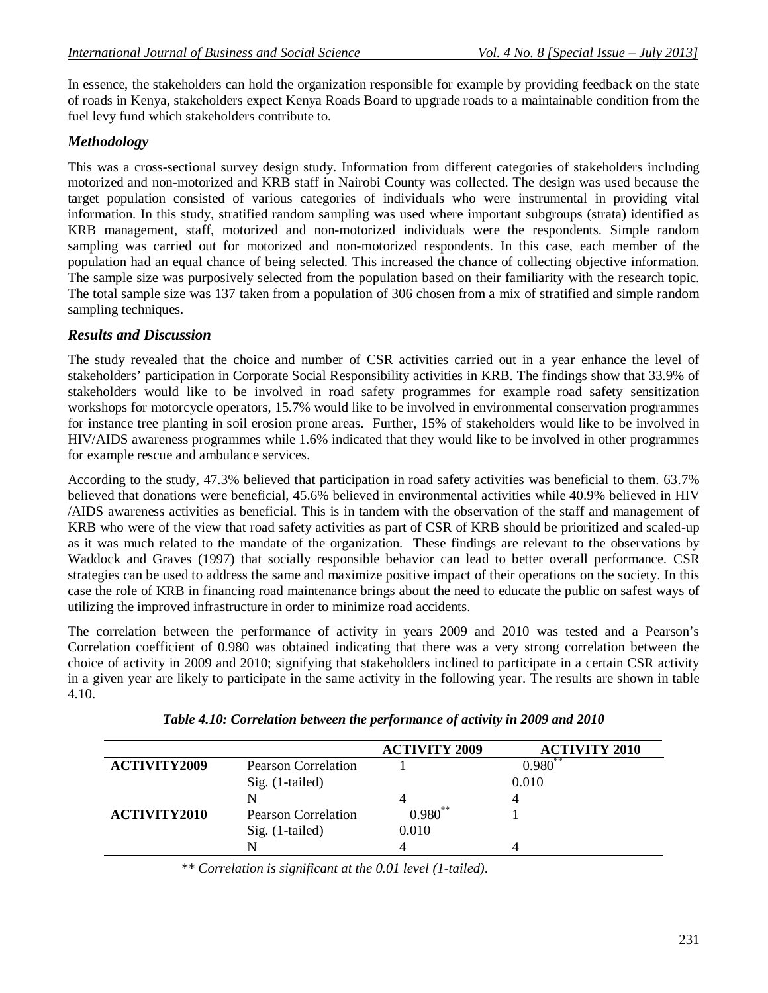In essence, the stakeholders can hold the organization responsible for example by providing feedback on the state of roads in Kenya, stakeholders expect Kenya Roads Board to upgrade roads to a maintainable condition from the fuel levy fund which stakeholders contribute to.

## *Methodology*

This was a cross-sectional survey design study. Information from different categories of stakeholders including motorized and non-motorized and KRB staff in Nairobi County was collected. The design was used because the target population consisted of various categories of individuals who were instrumental in providing vital information. In this study, stratified random sampling was used where important subgroups (strata) identified as KRB management, staff, motorized and non-motorized individuals were the respondents. Simple random sampling was carried out for motorized and non-motorized respondents. In this case, each member of the population had an equal chance of being selected. This increased the chance of collecting objective information. The sample size was purposively selected from the population based on their familiarity with the research topic. The total sample size was 137 taken from a population of 306 chosen from a mix of stratified and simple random sampling techniques.

### *Results and Discussion*

The study revealed that the choice and number of CSR activities carried out in a year enhance the level of stakeholders' participation in Corporate Social Responsibility activities in KRB. The findings show that 33.9% of stakeholders would like to be involved in road safety programmes for example road safety sensitization workshops for motorcycle operators, 15.7% would like to be involved in environmental conservation programmes for instance tree planting in soil erosion prone areas. Further, 15% of stakeholders would like to be involved in HIV/AIDS awareness programmes while 1.6% indicated that they would like to be involved in other programmes for example rescue and ambulance services.

According to the study, 47.3% believed that participation in road safety activities was beneficial to them. 63.7% believed that donations were beneficial, 45.6% believed in environmental activities while 40.9% believed in HIV /AIDS awareness activities as beneficial. This is in tandem with the observation of the staff and management of KRB who were of the view that road safety activities as part of CSR of KRB should be prioritized and scaled-up as it was much related to the mandate of the organization. These findings are relevant to the observations by Waddock and Graves (1997) that socially responsible behavior can lead to better overall performance. CSR strategies can be used to address the same and maximize positive impact of their operations on the society. In this case the role of KRB in financing road maintenance brings about the need to educate the public on safest ways of utilizing the improved infrastructure in order to minimize road accidents.

The correlation between the performance of activity in years 2009 and 2010 was tested and a Pearson's Correlation coefficient of 0.980 was obtained indicating that there was a very strong correlation between the choice of activity in 2009 and 2010; signifying that stakeholders inclined to participate in a certain CSR activity in a given year are likely to participate in the same activity in the following year. The results are shown in table 4.10.

|                     |                            | <b>ACTIVITY 2009</b> | <b>ACTIVITY 2010</b> |
|---------------------|----------------------------|----------------------|----------------------|
| <b>ACTIVITY2009</b> | Pearson Correlation        |                      | $0.980**$            |
|                     | Sig. (1-tailed)            |                      | 0.010                |
|                     | N                          |                      |                      |
| <b>ACTIVITY2010</b> | <b>Pearson Correlation</b> | $0.980**$            |                      |
|                     | Sig. (1-tailed)            | 0.010                |                      |
|                     | N                          |                      |                      |

| Table 4.10: Correlation between the performance of activity in 2009 and 2010 |  |  |
|------------------------------------------------------------------------------|--|--|
|                                                                              |  |  |

*\*\* Correlation is significant at the 0.01 level (1-tailed).*